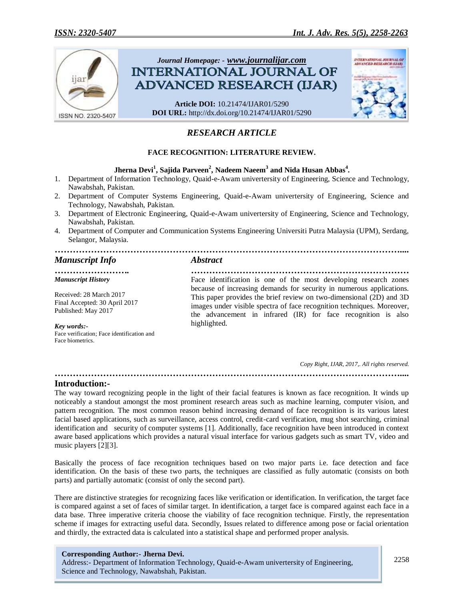

# *RESEARCH ARTICLE*

## **FACE RECOGNITION: LITERATURE REVIEW.**

## **Jherna Devi<sup>1</sup> , Sajida Parveen<sup>2</sup> , Nadeem Naeem<sup>3</sup> and Nida Husan Abbas<sup>4</sup> .**

- 1. Department of Information Technology, Quaid-e-Awam univertersity of Engineering, Science and Technology, Nawabshah, Pakistan.
- 2. Department of Computer Systems Engineering, Quaid-e-Awam univertersity of Engineering, Science and Technology, Nawabshah, Pakistan.
- 3. Department of Electronic Engineering, Quaid-e-Awam univertersity of Engineering, Science and Technology, Nawabshah, Pakistan.
- 4. Department of Computer and Communication Systems Engineering Universiti Putra Malaysia (UPM), Serdang, Selangor, Malaysia.

# *…………………………………………………………………………………………………….... Manuscript Info Abstract*

# *Manuscript History*

Received: 28 March 2017 Final Accepted: 30 April 2017 Published: May 2017

*Key words:-* Face verification; Face identification and Face biometrics.

*……………………. ………………………………………………………………* Face identification is one of the most developing research zones because of increasing demands for security in numerous applications. This paper provides the brief review on two-dimensional (2D) and 3D images under visible spectra of face recognition techniques. Moreover, the advancement in infrared (IR) for face recognition is also highlighted.

 *Copy Right, IJAR, 2017,. All rights reserved.*

# **Introduction:-**

The way toward recognizing people in the light of their facial features is known as face recognition. It winds up noticeably a standout amongst the most prominent research areas such as machine learning, computer vision, and pattern recognition. The most common reason behind increasing demand of face recognition is its various latest facial based applications, such as surveillance, access control, credit-card verification, mug shot searching, criminal identification and security of computer systems [1]. Additionally, face recognition have been introduced in context aware based applications which provides a natural visual interface for various gadgets such as smart TV, video and music players [2][3].

*……………………………………………………………………………………………………....*

Basically the process of face recognition techniques based on two major parts i.e. face detection and face identification. On the basis of these two parts, the techniques are classified as fully automatic (consists on both parts) and partially automatic (consist of only the second part).

There are distinctive strategies for recognizing faces like verification or identification. In verification, the target face is compared against a set of faces of similar target. In identification, a target face is compared against each face in a data base. Three imperative criteria choose the viability of face recognition technique. Firstly, the representation scheme if images for extracting useful data. Secondly, Issues related to difference among pose or facial orientation and thirdly, the extracted data is calculated into a statistical shape and performed proper analysis.

#### **Corresponding Author:- Jherna Devi.**

Address:- Department of Information Technology, Quaid-e-Awam univertersity of Engineering, Science and Technology, Nawabshah, Pakistan.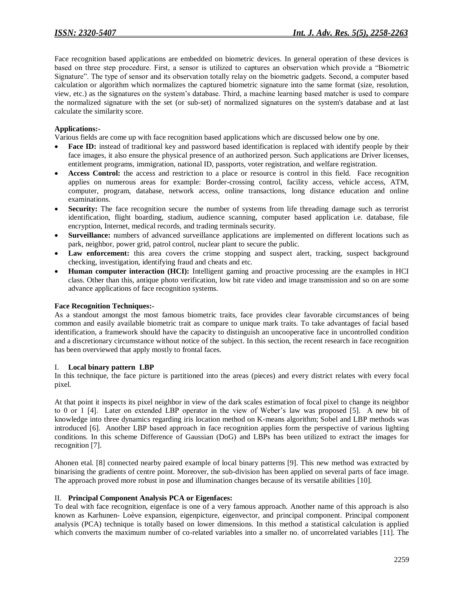Face recognition based applications are embedded on biometric devices. In general operation of these devices is based on three step procedure. First, a sensor is utilized to captures an observation which provide a "Biometric Signature". The type of sensor and its observation totally relay on the biometric gadgets. Second, a computer based calculation or algorithm which normalizes the captured biometric signature into the same format (size, resolution, view, etc.) as the signatures on the system's database. Third, a machine learning based matcher is used to compare the normalized signature with the set (or sub-set) of normalized signatures on the system's database and at last calculate the similarity score.

### **Applications:-**

Various fields are come up with face recognition based applications which are discussed below one by one.

- **Face ID:** instead of traditional key and password based identification is replaced with identify people by their face images, it also ensure the physical presence of an authorized person. Such applications are Driver licenses, entitlement programs, immigration, national ID, passports, voter registration, and welfare registration.
- **Access Control:** the access and restriction to a place or resource is control in this field. Face recognition applies on numerous areas for example: Border-crossing control, facility access, vehicle access, ATM, computer, program, database, network access, online transactions, long distance education and online examinations.
- Security: The face recognition secure the number of systems from life threading damage such as terrorist identification, flight boarding, stadium, audience scanning, computer based application i.e. database, file encryption, Internet, medical records, and trading terminals security.
- **Surveillance:** numbers of advanced surveillance applications are implemented on different locations such as park, neighbor, power grid, patrol control, nuclear plant to secure the public.
- Law enforcement: this area covers the crime stopping and suspect alert, tracking, suspect background checking, investigation, identifying fraud and cheats and etc.
- **Human computer interaction (HCI):** Intelligent gaming and proactive processing are the examples in HCI class. Other than this, antique photo verification, low bit rate video and image transmission and so on are some advance applications of face recognition systems.

### **Face Recognition Techniques:-**

As a standout amongst the most famous biometric traits, face provides clear favorable circumstances of being common and easily available biometric trait as compare to unique mark traits. To take advantages of facial based identification, a framework should have the capacity to distinguish an uncooperative face in uncontrolled condition and a discretionary circumstance without notice of the subject. In this section, the recent research in face recognition has been overviewed that apply mostly to frontal faces.

### I. **Local binary pattern LBP**

In this technique, the face picture is partitioned into the areas (pieces) and every district relates with every focal pixel.

At that point it inspects its pixel neighbor in view of the dark scales estimation of focal pixel to change its neighbor to 0 or 1 [4]. Later on extended LBP operator in the view of Weber's law was proposed [5]. A new bit of knowledge into three dynamics regarding iris location method on K-means algorithm; Sobel and LBP methods was introduced [6]. Another LBP based approach in face recognition applies form the perspective of various lighting conditions. In this scheme Difference of Gaussian (DoG) and LBPs has been utilized to extract the images for recognition [7].

Ahonen etal. [8] connected nearby paired example of local binary patterns [9]. This new method was extracted by binarising the gradients of centre point. Moreover, the sub-division has been applied on several parts of face image. The approach proved more robust in pose and illumination changes because of its versatile abilities [10].

### II. **Principal Component Analysis PCA or Eigenfaces:**

To deal with face recognition, eigenface is one of a very famous approach. Another name of this approach is also known as Karhunen- Loève expansion, eigenpicture, eigenvector, and principal component. Principal component analysis (PCA) technique is totally based on lower dimensions. In this method a statistical calculation is applied which converts the maximum number of co-related variables into a smaller no. of uncorrelated variables [11]. The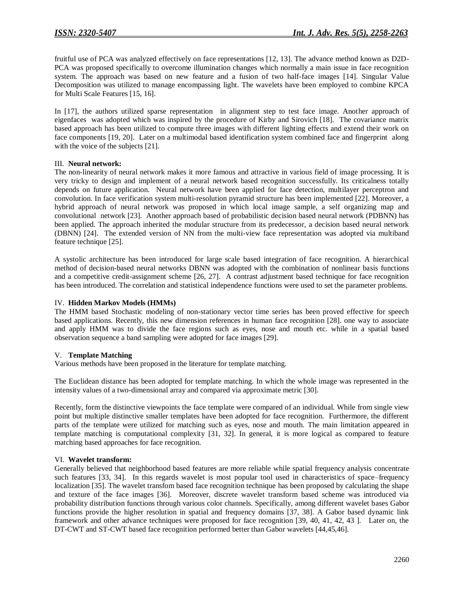fruitful use of PCA was analyzed effectively on face representations [12, 13]. The advance method known as D2D-PCA was proposed specifically to overcome illumination changes which normally a main issue in face recognition system. The approach was based on new feature and a fusion of two half-face images [14]. Singular Value Decomposition was utilized to manage encompassing light. The wavelets have been employed to combine KPCA for Multi Scale Features [15, 16].

In [17], the authors utilized sparse representation in alignment step to test face image. Another approach of eigenfaces was adopted which was inspired by the procedure of Kirby and Sirovich [18]. The covariance matrix based approach has been utilized to compute three images with different lighting effects and extend their work on face components [19, 20]. Later on a multimodal based identification system combined face and fingerprint along with the voice of the subjects [21].

### III. **Neural network:**

The non-linearity of neural network makes it more famous and attractive in various field of image processing. It is very tricky to design and implement of a neural network based recognition successfully. Its criticalness totally depends on future application. Neural network have been applied for face detection, multilayer perceptron and convolution. In face verification system multi-resolution pyramid structure has been implemented [22]. Moreover, a hybrid approach of neural network was proposed in which local image sample, a self organizing map and convolutional network [23]. Another approach based of probabilistic decision based neural network (PDBNN) has been applied. The approach inherited the modular structure from its predecessor, a decision based neural network (DBNN) [24]. The extended version of NN from the multi-view face representation was adopted via multiband feature technique [25].

A systolic architecture has been introduced for large scale based integration of face recognition. A hierarchical method of decision-based neural networks DBNN was adopted with the combination of nonlinear basis functions and a competitive credit-assignment scheme [26, 27]. A contrast adjustment based technique for face recognition has been introduced. The correlation and statistical independence functions were used to set the parameter problems.

#### IV. **Hidden Markov Models (HMMs)**

The HMM based Stochastic modeling of non-stationary vector time series has been proved effective for speech based applications. Recently, this new dimension references in human face recognition [28]. one way to associate and apply HMM was to divide the face regions such as eyes, nose and mouth etc. while in a spatial based observation sequence a band sampling were adopted for face images [29].

### V. **Template Matching**

Various methods have been proposed in the literature for template matching.

The Euclidean distance has been adopted for template matching. In which the whole image was represented in the intensity values of a two-dimensional array and compared via approximate metric [30].

Recently, form the distinctive viewpoints the face template were compared of an individual. While from single view point but multiple distinctive smaller templates have been adopted for face recognition. Furthermore, the different parts of the template were utilized for matching such as eyes, nose and mouth. The main limitation appeared in template matching is computational complexity [31, 32]. In general, it is more logical as compared to feature matching based approaches for face recognition.

### VI. **Wavelet transform:**

Generally believed that neighborhood based features are more reliable while spatial frequency analysis concentrate such features [33, 34]. In this regards wavelet is most popular tool used in characteristics of space–frequency localization [35]. The wavelet transfom based face recognition technique has been proposed by calculating the shape and texture of the face images [36]. Moreover, discrete wavelet transform based scheme was introduced via probability distribution functions through various color channels. Specifically, among different wavelet bases Gabor functions provide the higher resolution in spatial and frequency domains [37, 38]. A Gabor based dynamic link framework and other advance techniques were proposed for face recognition [39, 40, 41, 42, 43 ]. Later on, the DT-CWT and ST-CWT based face recognition performed better than Gabor wavelets [44,45,46].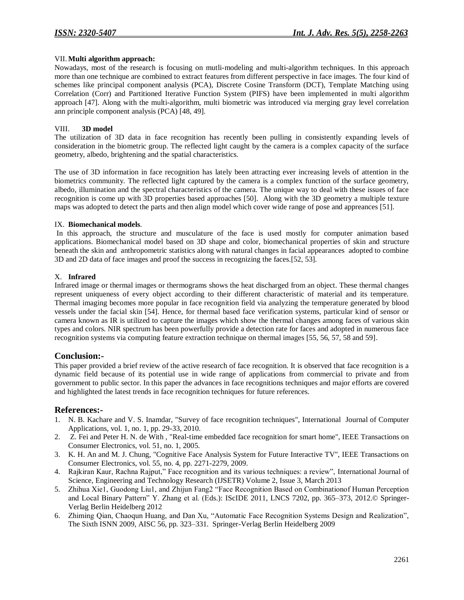### VII.**Multi algorithm approach:**

Nowadays, most of the research is focusing on mutli-modeling and multi-algorithm techniques. In this approach more than one technique are combined to extract features from different perspective in face images. The four kind of schemes like principal component analysis (PCA), Discrete Cosine Transform (DCT), Template Matching using Correlation (Corr) and Partitioned Iterative Function System (PIFS) have been implemented in multi algorithm approach [47]. Along with the multi-algorithm, multi biometric was introduced via merging gray level correlation ann principle component analysis (PCA) [48, 49].

#### VIII. **3D model**

The utilization of 3D data in face recognition has recently been pulling in consistently expanding levels of consideration in the biometric group. The reflected light caught by the camera is a complex capacity of the surface geometry, albedo, brightening and the spatial characteristics.

The use of 3D information in face recognition has lately been attracting ever increasing levels of attention in the biometrics community. The reflected light captured by the camera is a complex function of the surface geometry, albedo, illumination and the spectral characteristics of the camera. The unique way to deal with these issues of face recognition is come up with 3D properties based approaches [50]. Along with the 3D geometry a multiple texture maps was adopted to detect the parts and then align model which cover wide range of pose and appreances [51].

#### IX. **Biomechanical models**.

In this approach, the structure and musculature of the face is used mostly for computer animation based applications. Biomechanical model based on 3D shape and color, biomechanical properties of skin and structure beneath the skin and anthropometric statistics along with natural changes in facial appearances adopted to combine 3D and 2D data of face images and proof the success in recognizing the faces.[52, 53].

#### X. **Infrared**

Infrared image or thermal images or thermograms shows the heat discharged from an object. These thermal changes represent uniqueness of every object according to their different characteristic of material and its temperature. Thermal imaging becomes more popular in face recognition field via analyzing the temperature generated by blood vessels under the facial skin [54]. Hence, for thermal based face verification systems, particular kind of sensor or camera known as IR is utilized to capture the images which show the thermal changes among faces of various skin types and colors. NIR spectrum has been powerfully provide a detection rate for faces and adopted in numerous face recognition systems via computing feature extraction technique on thermal images [55, 56, 57, 58 and 59].

## **Conclusion:-**

This paper provided a brief review of the active research of face recognition. It is observed that face recognition is a dynamic field because of its potential use in wide range of applications from commercial to private and from government to public sector. In this paper the advances in face recognitions techniques and major efforts are covered and highlighted the latest trends in face recognition techniques for future references.

### **References:-**

- 1. N. B. Kachare and V. S. Inamdar, "Survey of face recognition techniques", International Journal of Computer Applications, vol. 1, no. 1, pp. 29-33, 2010.
- 2. Z. Fei and Peter H. N. de With , "Real-time embedded face recognition for smart home", IEEE Transactions on Consumer Electronics, vol. 51, no. 1, 2005.
- 3. K. H. An and M. J. Chung, "Cognitive Face Analysis System for Future Interactive TV", IEEE Transactions on Consumer Electronics, vol. 55, no. 4, pp. 2271-2279, 2009.
- 4. Rajkiran Kaur, Rachna Rajput," Face recognition and its various techniques: a review", International Journal of Science, Engineering and Technology Research (IJSETR) Volume 2, Issue 3, March 2013
- 5. Zhihua Xie1, Guodong Liu1, and Zhijun Fang2 "Face Recognition Based on Combinationof Human Perception and Local Binary Pattern" Y. Zhang et al. (Eds.): IScIDE 2011, LNCS 7202, pp. 365–373, 2012.© Springer-Verlag Berlin Heidelberg 2012
- 6. Zhiming Qian, Chaoqun Huang, and Dan Xu, "Automatic Face Recognition Systems Design and Realization", The Sixth ISNN 2009, AISC 56, pp. 323–331. Springer-Verlag Berlin Heidelberg 2009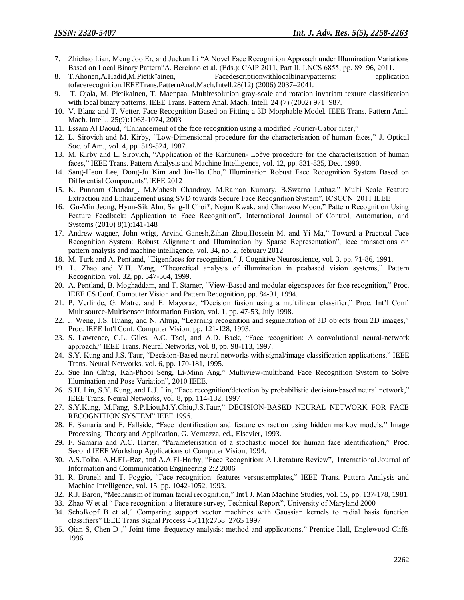- 7. Zhichao Lian, Meng Joo Er, and Juekun Li "A Novel Face Recognition Approach under Illumination Variations Based on Local Binary Pattern"A. Berciano et al. (Eds.): CAIP 2011, Part II, LNCS 6855, pp. 89–96, 2011.
- 8. T.Ahonen,A.Hadid,M.Pietik¨ainen, Facedescriptionwithlocalbinarypatterns: application tofacerecognition,IEEETrans.PatternAnal.Mach.Intell.28(12) (2006) 2037–2041.
- 9. T. Ojala, M. Pietikainen, T. Maenpaa, Multiresolution gray-scale and rotation invariant texture classification with local binary patterns, IEEE Trans. Pattern Anal. Mach. Intell. 24 (7) (2002) 971–987.
- 10. V. Blanz and T. Vetter. Face Recognition Based on Fitting a 3D Morphable Model. IEEE Trans. Pattern Anal. Mach. Intell., 25(9):1063-1074, 2003
- 11. Essam Al Daoud, "Enhancement of the face recognition using a modified Fourier-Gabor filter,"
- 12. L. Sirovich and M. Kirby, "Low-Dimensional procedure for the characterisation of human faces," J. Optical Soc. of Am., vol. 4, pp. 519-524, 1987.
- 13. M. Kirby and L. Sirovich, "Application of the Karhunen- Loève procedure for the characterisation of human faces," IEEE Trans. Pattern Analysis and Machine Intelligence, vol. 12, pp. 831-835, Dec. 1990.
- 14. Sang-Heon Lee, Dong-Ju Kim and Jin-Ho Cho," Illumination Robust Face Recognition System Based on Differential Components", IEEE 2012
- 15. K. Punnam Chandar, M.Mahesh Chandray, M.Raman Kumary, B.Swarna Lathaz," Multi Scale Feature Extraction and Enhancement using SVD towards Secure Face Recognition System", ICSCCN 2011 IEEE
- 16. Gu-Min Jeong, Hyun-Sik Ahn, Sang-Il Choi\*, Nojun Kwak, and Chanwoo Moon," Pattern Recognition Using Feature Feedback: Application to Face Recognition", International Journal of Control, Automation, and Systems (2010) 8(1):141-148
- 17. Andrew wagner, John wrigt, Arvind Ganesh,Zihan Zhou,Hossein M. and Yi Ma," Toward a Practical Face Recognition System: Robust Alignment and Illumination by Sparse Representation", ieee transactions on pattern analysis and machine intelligence, vol. 34, no. 2, february 2012
- 18. M. Turk and A. Pentland, "Eigenfaces for recognition," J. Cognitive Neuroscience, vol. 3, pp. 71-86, 1991.
- 19. L. Zhao and Y.H. Yang, "Theoretical analysis of illumination in pcabased vision systems," Pattern Recognition, vol. 32, pp. 547-564, 1999.
- 20. A. Pentland, B. Moghaddam, and T. Starner, "View-Based and modular eigenspaces for face recognition," Proc. IEEE CS Conf. Computer Vision and Pattern Recognition, pp. 84-91, 1994.
- 21. P. Verlinde, G. Matre, and E. Mayoraz, "Decision fusion using a multilinear classifier," Proc. Int'l Conf. Multisource-Multisensor Information Fusion, vol. 1, pp. 47-53, July 1998.
- 22. J. Weng, J.S. Huang, and N. Ahuja, "Learning recognition and segmentation of 3D objects from 2D images," Proc. IEEE Int'l Conf. Computer Vision, pp. 121-128, 1993.
- 23. S. Lawrence, C.L. Giles, A.C. Tsoi, and A.D. Back, "Face recognition: A convolutional neural-network approach," IEEE Trans. Neural Networks, vol. 8, pp. 98-113, 1997.
- 24. S.Y. Kung and J.S. Taur, "Decision-Based neural networks with signal/image classification applications," IEEE Trans. Neural Networks, vol. 6, pp. 170-181, 1995.
- 25. Sue Inn Ch'ng, Kah-Phooi Seng, Li-Minn Ang," Multiview-multiband Face Recognition System to Solve Illumination and Pose Variation", 2010 IEEE.
- 26. S.H. Lin, S.Y. Kung, and L.J. Lin, "Face recognition/detection by probabilistic decision-based neural network," IEEE Trans. Neural Networks, vol. 8, pp. 114-132, 1997
- 27. S.Y.Kung, M.Fang, S.P.Liou,M.Y.Chiu,J.S.Taur," DECISION-BASED NEURAL NETWORK FOR FACE RECOGNITION SYSTEM" IEEE 1995.
- 28. F. Samaria and F. Fallside, "Face identification and feature extraction using hidden markov models," Image Processing: Theory and Application, G. Vernazza, ed., Elsevier, 1993.
- 29. F. Samaria and A.C. Harter, "Parameterisation of a stochastic model for human face identification," Proc. Second IEEE Workshop Applications of Computer Vision, 1994.
- 30. A.S.Tolba, A.H.EL-Baz, and A.A.El-Harby, "Face Recognition: A Literature Review", International Journal of Information and Communication Engineering 2:2 2006
- 31. R. Bruneli and T. Poggio, "Face recognition: features versustemplates," IEEE Trans. Pattern Analysis and Machine Intelligence, vol. 15, pp. 1042-1052, 1993.
- 32. R.J. Baron, "Mechanism of human facial recognition," Int'l J. Man Machine Studies, vol. 15, pp. 137-178, 1981.
- 33. Zhao W et al "Face recognition: a literature survey, Technical Report", University of Maryland 2000
- 34. Scholkopf B et al," Comparing support vector machines with Gaussian kernels to radial basis function classifiers" IEEE Trans Signal Process 45(11):2758-2765 1997
- 35. Qian S, Chen D," Joint time–frequency analysis: method and applications." Prentice Hall, Englewood Cliffs 1996